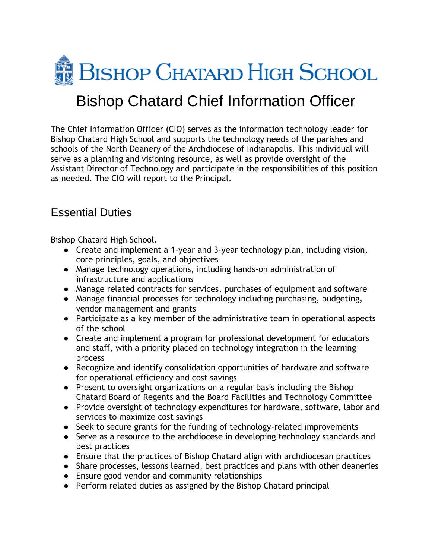

## Bishop Chatard Chief Information Officer

The Chief Information Officer (CIO) serves as the information technology leader for Bishop Chatard High School and supports the technology needs of the parishes and schools of the North Deanery of the Archdiocese of Indianapolis. This individual will serve as a planning and visioning resource, as well as provide oversight of the Assistant Director of Technology and participate in the responsibilities of this position as needed. The CIO will report to the Principal.

## Essential Duties

Bishop Chatard High School.

- Create and implement a 1-year and 3-year technology plan, including vision, core principles, goals, and objectives
- Manage technology operations, including hands-on administration of infrastructure and applications
- Manage related contracts for services, purchases of equipment and software
- Manage financial processes for technology including purchasing, budgeting, vendor management and grants
- Participate as a key member of the administrative team in operational aspects of the school
- Create and implement a program for professional development for educators and staff, with a priority placed on technology integration in the learning process
- Recognize and identify consolidation opportunities of hardware and software for operational efficiency and cost savings
- Present to oversight organizations on a regular basis including the Bishop Chatard Board of Regents and the Board Facilities and Technology Committee
- Provide oversight of technology expenditures for hardware, software, labor and services to maximize cost savings
- Seek to secure grants for the funding of technology-related improvements
- Serve as a resource to the archdiocese in developing technology standards and best practices
- Ensure that the practices of Bishop Chatard align with archdiocesan practices
- Share processes, lessons learned, best practices and plans with other deaneries
- Ensure good vendor and community relationships
- Perform related duties as assigned by the Bishop Chatard principal